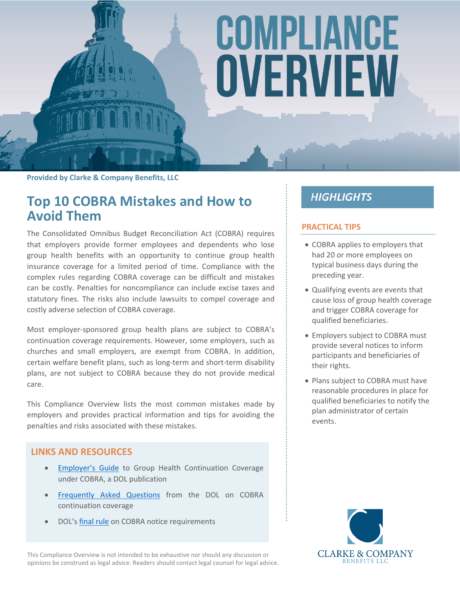# COMPLIANCE OVERVIEW

**Provided by Clarke & Company Benefits, LLC**

### **Top 10 COBRA Mistakes and How to Avoid Them**

The Consolidated Omnibus Budget Reconciliation Act (COBRA) requires that employers provide former employees and dependents who lose group health benefits with an opportunity to continue group health insurance coverage for a limited period of time. Compliance with the complex rules regarding COBRA coverage can be difficult and mistakes can be costly. Penalties for noncompliance can include excise taxes and statutory fines. The risks also include lawsuits to compel coverage and costly adverse selection of COBRA coverage.

Most employer-sponsored group health plans are subject to COBRA's continuation coverage requirements. However, some employers, such as churches and small employers, are exempt from COBRA. In addition, certain welfare benefit plans, such as long-term and short-term disability plans, are not subject to COBRA because they do not provide medical care.

This Compliance Overview lists the most common mistakes made by employers and provides practical information and tips for avoiding the penalties and risks associated with these mistakes.

#### **LINKS AND RESOURCES**

- [Employer's Guide](https://www.dol.gov/sites/default/files/ebsa/about-ebsa/our-activities/resource-center/publications/an-employers-guide-to-group-health-continuation-coverage-under-cobra.pdf) to Group Health Continuation Coverage under COBRA, a DOL publication
- **•** [Frequently Asked Questions](https://www.dol.gov/sites/default/files/ebsa/about-ebsa/our-activities/resource-center/faqs/cobra-continuation-health-coverage-consumer.pdf) from the DOL on COBRA continuation coverage
- DOL's [final rule](https://www.federalregister.gov/documents/2004/05/26/04-11796/health-care-continuation-coverage) on COBRA notice requirements

This Compliance Overview is not intended to be exhaustive nor should any discussion or opinions be construed as legal advice. Readers should contact legal counsel for legal advice.

### **HIGHLIGHTS**

#### **PRACTICAL TIPS**

- COBRA applies to employers that had 20 or more employees on typical business days during the preceding year.
- Qualifying events are events that cause loss of group health coverage and trigger COBRA coverage for qualified beneficiaries.
- Employers subject to COBRA must provide several notices to inform participants and beneficiaries of their rights.
- Plans subject to COBRA must have reasonable procedures in place for qualified beneficiaries to notify the plan administrator of certain events.

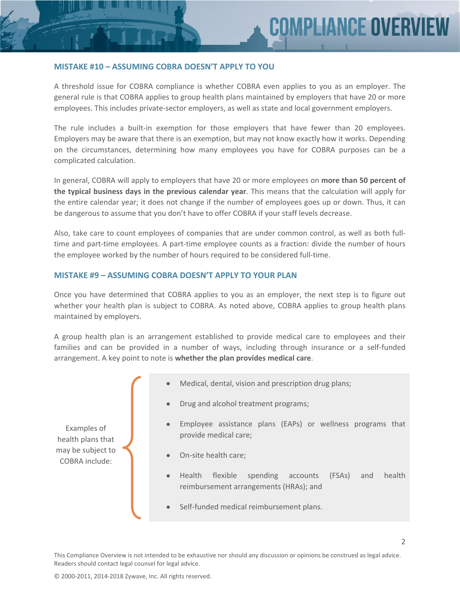#### **MISTAKE #10 – ASSUMING COBRA DOESN'T APPLY TO YOU**

A threshold issue for COBRA compliance is whether COBRA even applies to you as an employer. The general rule is that COBRA applies to group health plans maintained by employers that have 20 or more employees. This includes private-sector employers, as well as state and local government employers.

The rule includes a built-in exemption for those employers that have fewer than 20 employees. Employers may be aware that there is an exemption, but may not know exactly how it works. Depending on the circumstances, determining how many employees you have for COBRA purposes can be a complicated calculation.

In general, COBRA will apply to employers that have 20 or more employees on **more than 50 percent of the typical business days in the previous calendar year**. This means that the calculation will apply for the entire calendar year; it does not change if the number of employees goes up or down. Thus, it can be dangerous to assume that you don't have to offer COBRA if your staff levels decrease.

Also, take care to count employees of companies that are under common control, as well as both fulltime and part-time employees. A part-time employee counts as a fraction: divide the number of hours the employee worked by the number of hours required to be considered full-time.

#### **MISTAKE #9 – ASSUMING COBRA DOESN'T APPLY TO YOUR PLAN**

Once you have determined that COBRA applies to you as an employer, the next step is to figure out whether your health plan is subject to COBRA. As noted above, COBRA applies to group health plans maintained by employers.

A group health plan is an arrangement established to provide medical care to employees and their families and can be provided in a number of ways, including through insurance or a self-funded arrangement. A key point to note is **whether the plan provides medical care**.



This Compliance Overview is not intended to be exhaustive nor should any discussion or opinions be construed as legal advice. Readers should contact legal counsel for legal advice.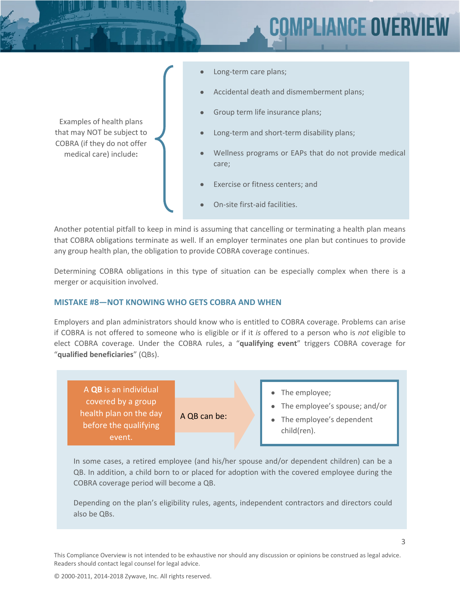## **MPLIANCE OVER**

- Long-term care plans;
	- Accidental death and dismemberment plans;

Group term life insurance plans;

- Long-term and short-term disability plans;
- Wellness programs or EAPs that do not provide medical care;
- Exercise or fitness centers; and
- On-site first-aid facilities.

Another potential pitfall to keep in mind is assuming that cancelling or terminating a health plan means that COBRA obligations terminate as well. If an employer terminates one plan but continues to provide any group health plan, the obligation to provide COBRA coverage continues.

Determining COBRA obligations in this type of situation can be especially complex when there is a merger or acquisition involved.

#### **MISTAKE #8—NOT KNOWING WHO GETS COBRA AND WHEN**

Examples of health plans that may NOT be subject to COBRA (if they do not offer medical care) include**:**

Employers and plan administrators should know who is entitled to COBRA coverage. Problems can arise if COBRA is not offered to someone who is eligible or if it *is* offered to a person who is *not* eligible to elect COBRA coverage. Under the COBRA rules, a "**qualifying event**" triggers COBRA coverage for "**qualified beneficiaries**" (QBs).



In some cases, a retired employee (and his/her spouse and/or dependent children) can be a QB. In addition, a child born to or placed for adoption with the covered employee during the COBRA coverage period will become a QB.

Depending on the plan's eligibility rules, agents, independent contractors and directors could also be QBs.

This Compliance Overview is not intended to be exhaustive nor should any discussion or opinions be construed as legal advice. Readers should contact legal counsel for legal advice.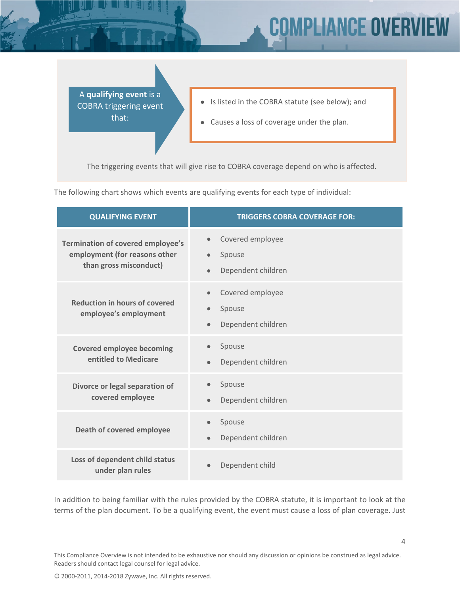# **IPLIANCE OVER**

A **qualifying event** is a COBRA triggering event that:

- Is listed in the COBRA statute (see below); and
- Causes a loss of coverage under the plan.

The triggering events that will give rise to COBRA coverage depend on who is affected.

The following chart shows which events are qualifying events for each type of individual:

| <b>QUALIFYING EVENT</b>                                                                             | <b>TRIGGERS COBRA COVERAGE FOR:</b>                                        |
|-----------------------------------------------------------------------------------------------------|----------------------------------------------------------------------------|
| <b>Termination of covered employee's</b><br>employment (for reasons other<br>than gross misconduct) | Covered employee<br>$\bullet$<br>Spouse<br>Dependent children<br>$\bullet$ |
| <b>Reduction in hours of covered</b><br>employee's employment                                       | Covered employee<br>$\bullet$<br>Spouse<br>Dependent children<br>$\bullet$ |
| <b>Covered employee becoming</b><br>entitled to Medicare                                            | Spouse<br>$\bullet$<br>Dependent children<br>$\bullet$                     |
| Divorce or legal separation of<br>covered employee                                                  | Spouse<br>Dependent children                                               |
| Death of covered employee                                                                           | Spouse<br>Dependent children<br>$\bullet$                                  |
| Loss of dependent child status<br>under plan rules                                                  | Dependent child                                                            |

In addition to being familiar with the rules provided by the COBRA statute, it is important to look at the terms of the plan document. To be a qualifying event, the event must cause a loss of plan coverage. Just

This Compliance Overview is not intended to be exhaustive nor should any discussion or opinions be construed as legal advice. Readers should contact legal counsel for legal advice.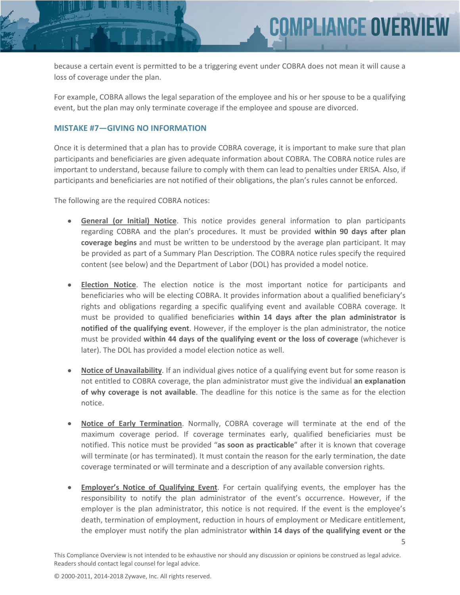because a certain event is permitted to be a triggering event under COBRA does not mean it will cause a loss of coverage under the plan.

**COMPLIANCE OVERV** 

For example, COBRA allows the legal separation of the employee and his or her spouse to be a qualifying event, but the plan may only terminate coverage if the employee and spouse are divorced.

#### **MISTAKE #7—GIVING NO INFORMATION**

Once it is determined that a plan has to provide COBRA coverage, it is important to make sure that plan participants and beneficiaries are given adequate information about COBRA. The COBRA notice rules are important to understand, because failure to comply with them can lead to penalties under ERISA. Also, if participants and beneficiaries are not notified of their obligations, the plan's rules cannot be enforced.

The following are the required COBRA notices:

- **General (or Initial) Notice**. This notice provides general information to plan participants regarding COBRA and the plan's procedures. It must be provided **within 90 days after plan coverage begins** and must be written to be understood by the average plan participant. It may be provided as part of a Summary Plan Description. The COBRA notice rules specify the required content (see below) and the Department of Labor (DOL) has provided a model notice.
- **Election Notice**. The election notice is the most important notice for participants and beneficiaries who will be electing COBRA. It provides information about a qualified beneficiary's rights and obligations regarding a specific qualifying event and available COBRA coverage. It must be provided to qualified beneficiaries **within 14 days after the plan administrator is notified of the qualifying event**. However, if the employer is the plan administrator, the notice must be provided **within 44 days of the qualifying event or the loss of coverage** (whichever is later). The DOL has provided a model election notice as well.
- **Notice of Unavailability**. If an individual gives notice of a qualifying event but for some reason is not entitled to COBRA coverage, the plan administrator must give the individual **an explanation of why coverage is not available**. The deadline for this notice is the same as for the election notice.
- **Notice of Early Termination**. Normally, COBRA coverage will terminate at the end of the maximum coverage period. If coverage terminates early, qualified beneficiaries must be notified. This notice must be provided "**as soon as practicable**" after it is known that coverage will terminate (or has terminated). It must contain the reason for the early termination, the date coverage terminated or will terminate and a description of any available conversion rights.
- **Employer's Notice of Qualifying Event**. For certain qualifying events, the employer has the responsibility to notify the plan administrator of the event's occurrence. However, if the employer is the plan administrator, this notice is not required. If the event is the employee's death, termination of employment, reduction in hours of employment or Medicare entitlement, the employer must notify the plan administrator **within 14 days of the qualifying event or the**

5

This Compliance Overview is not intended to be exhaustive nor should any discussion or opinions be construed as legal advice. Readers should contact legal counsel for legal advice.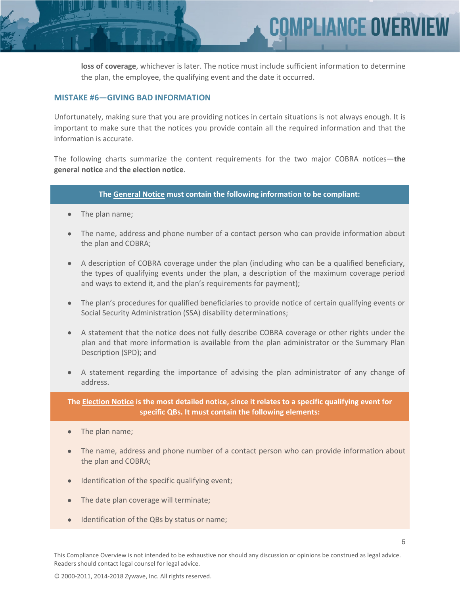**loss of coverage**, whichever is later. The notice must include sufficient information to determine the plan, the employee, the qualifying event and the date it occurred.

**MPLIANCE OVERV** 

#### **MISTAKE #6—GIVING BAD INFORMATION**

Unfortunately, making sure that you are providing notices in certain situations is not always enough. It is important to make sure that the notices you provide contain all the required information and that the information is accurate.

The following charts summarize the content requirements for the two major COBRA notices—**the general notice** and **the election notice**.

#### **The General Notice must contain the following information to be compliant:**

- The plan name;
- The name, address and phone number of a contact person who can provide information about the plan and COBRA;
- A description of COBRA coverage under the plan (including who can be a qualified beneficiary, the types of qualifying events under the plan, a description of the maximum coverage period and ways to extend it, and the plan's requirements for payment);
- The plan's procedures for qualified beneficiaries to provide notice of certain qualifying events or Social Security Administration (SSA) disability determinations;
- A statement that the notice does not fully describe COBRA coverage or other rights under the plan and that more information is available from the plan administrator or the Summary Plan Description (SPD); and
- A statement regarding the importance of advising the plan administrator of any change of address.

**The Election Notice is the most detailed notice, since it relates to a specific qualifying event for specific QBs. It must contain the following elements:**

- The plan name;
- The name, address and phone number of a contact person who can provide information about the plan and COBRA;
- Identification of the specific qualifying event;
- The date plan coverage will terminate;
- Identification of the QBs by status or name;

This Compliance Overview is not intended to be exhaustive nor should any discussion or opinions be construed as legal advice. Readers should contact legal counsel for legal advice.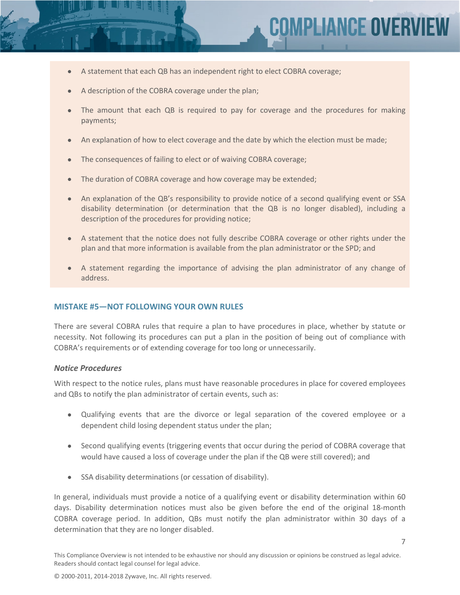7

- A statement that each QB has an independent right to elect COBRA coverage;
- A description of the COBRA coverage under the plan;
- The amount that each QB is required to pay for coverage and the procedures for making payments;
- An explanation of how to elect coverage and the date by which the election must be made;
- The consequences of failing to elect or of waiving COBRA coverage;
- The duration of COBRA coverage and how coverage may be extended;
- An explanation of the QB's responsibility to provide notice of a second qualifying event or SSA disability determination (or determination that the QB is no longer disabled), including a description of the procedures for providing notice;
- A statement that the notice does not fully describe COBRA coverage or other rights under the plan and that more information is available from the plan administrator or the SPD; and
- A statement regarding the importance of advising the plan administrator of any change of address.

#### **MISTAKE #5—NOT FOLLOWING YOUR OWN RULES**

There are several COBRA rules that require a plan to have procedures in place, whether by statute or necessity. Not following its procedures can put a plan in the position of being out of compliance with COBRA's requirements or of extending coverage for too long or unnecessarily.

#### *Notice Procedures*

With respect to the notice rules, plans must have reasonable procedures in place for covered employees and QBs to notify the plan administrator of certain events, such as:

- Qualifying events that are the divorce or legal separation of the covered employee or a dependent child losing dependent status under the plan;
- Second qualifying events (triggering events that occur during the period of COBRA coverage that would have caused a loss of coverage under the plan if the QB were still covered); and
- SSA disability determinations (or cessation of disability).

In general, individuals must provide a notice of a qualifying event or disability determination within 60 days. Disability determination notices must also be given before the end of the original 18-month COBRA coverage period. In addition, QBs must notify the plan administrator within 30 days of a determination that they are no longer disabled.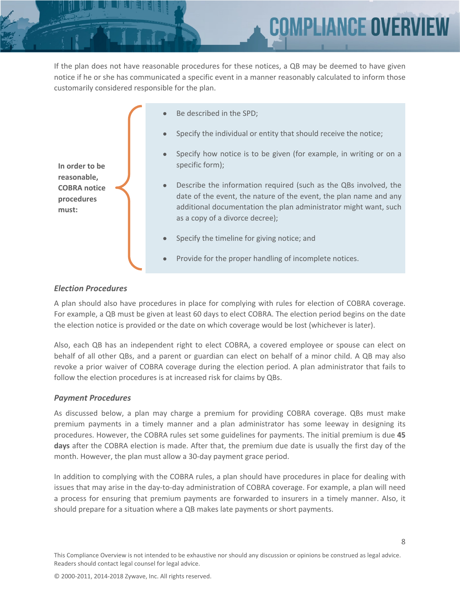

If the plan does not have reasonable procedures for these notices, a QB may be deemed to have given notice if he or she has communicated a specific event in a manner reasonably calculated to inform those customarily considered responsible for the plan.

|                                                                             | $\bullet$ | Be described in the SPD;                                                                                                                                                                                                                     |
|-----------------------------------------------------------------------------|-----------|----------------------------------------------------------------------------------------------------------------------------------------------------------------------------------------------------------------------------------------------|
| In order to be<br>reasonable,<br><b>COBRA</b> notice<br>procedures<br>must: | $\bullet$ | Specify the individual or entity that should receive the notice;                                                                                                                                                                             |
|                                                                             | $\bullet$ | Specify how notice is to be given (for example, in writing or on a<br>specific form);                                                                                                                                                        |
|                                                                             | $\bullet$ | Describe the information required (such as the QBs involved, the<br>date of the event, the nature of the event, the plan name and any<br>additional documentation the plan administrator might want, such<br>as a copy of a divorce decree); |
|                                                                             |           | Specify the timeline for giving notice; and                                                                                                                                                                                                  |
|                                                                             | $\bullet$ | Provide for the proper handling of incomplete notices.                                                                                                                                                                                       |

#### *Election Procedures*

A plan should also have procedures in place for complying with rules for election of COBRA coverage. For example, a QB must be given at least 60 days to elect COBRA. The election period begins on the date the election notice is provided or the date on which coverage would be lost (whichever is later).

Also, each QB has an independent right to elect COBRA, a covered employee or spouse can elect on behalf of all other QBs, and a parent or guardian can elect on behalf of a minor child. A QB may also revoke a prior waiver of COBRA coverage during the election period. A plan administrator that fails to follow the election procedures is at increased risk for claims by QBs.

#### *Payment Procedures*

As discussed below, a plan may charge a premium for providing COBRA coverage. QBs must make premium payments in a timely manner and a plan administrator has some leeway in designing its procedures. However, the COBRA rules set some guidelines for payments. The initial premium is due **45 days** after the COBRA election is made. After that, the premium due date is usually the first day of the month. However, the plan must allow a 30-day payment grace period.

In addition to complying with the COBRA rules, a plan should have procedures in place for dealing with issues that may arise in the day-to-day administration of COBRA coverage. For example, a plan will need a process for ensuring that premium payments are forwarded to insurers in a timely manner. Also, it should prepare for a situation where a QB makes late payments or short payments.

This Compliance Overview is not intended to be exhaustive nor should any discussion or opinions be construed as legal advice. Readers should contact legal counsel for legal advice.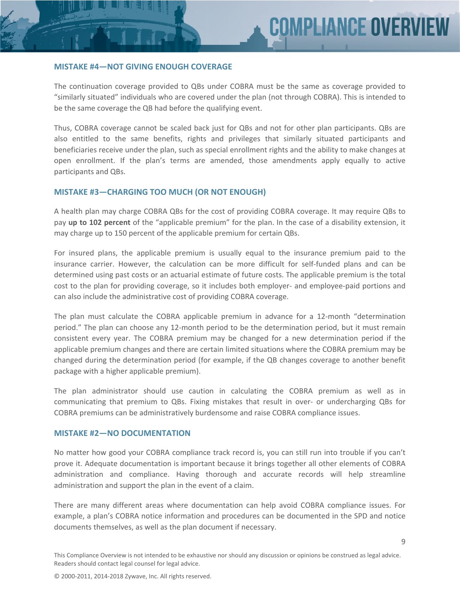9

#### **MISTAKE #4—NOT GIVING ENOUGH COVERAGE**

The continuation coverage provided to QBs under COBRA must be the same as coverage provided to "similarly situated" individuals who are covered under the plan (not through COBRA). This is intended to be the same coverage the QB had before the qualifying event.

Thus, COBRA coverage cannot be scaled back just for QBs and not for other plan participants. QBs are also entitled to the same benefits, rights and privileges that similarly situated participants and beneficiaries receive under the plan, such as special enrollment rights and the ability to make changes at open enrollment. If the plan's terms are amended, those amendments apply equally to active participants and QBs.

#### **MISTAKE #3—CHARGING TOO MUCH (OR NOT ENOUGH)**

A health plan may charge COBRA QBs for the cost of providing COBRA coverage. It may require QBs to pay **up to 102 percent** of the "applicable premium" for the plan. In the case of a disability extension, it may charge up to 150 percent of the applicable premium for certain QBs.

For insured plans, the applicable premium is usually equal to the insurance premium paid to the insurance carrier. However, the calculation can be more difficult for self-funded plans and can be determined using past costs or an actuarial estimate of future costs. The applicable premium is the total cost to the plan for providing coverage, so it includes both employer- and employee-paid portions and can also include the administrative cost of providing COBRA coverage.

The plan must calculate the COBRA applicable premium in advance for a 12-month "determination period." The plan can choose any 12-month period to be the determination period, but it must remain consistent every year. The COBRA premium may be changed for a new determination period if the applicable premium changes and there are certain limited situations where the COBRA premium may be changed during the determination period (for example, if the QB changes coverage to another benefit package with a higher applicable premium).

The plan administrator should use caution in calculating the COBRA premium as well as in communicating that premium to QBs. Fixing mistakes that result in over- or undercharging QBs for COBRA premiums can be administratively burdensome and raise COBRA compliance issues.

#### **MISTAKE #2—NO DOCUMENTATION**

No matter how good your COBRA compliance track record is, you can still run into trouble if you can't prove it. Adequate documentation is important because it brings together all other elements of COBRA administration and compliance. Having thorough and accurate records will help streamline administration and support the plan in the event of a claim.

There are many different areas where documentation can help avoid COBRA compliance issues. For example, a plan's COBRA notice information and procedures can be documented in the SPD and notice documents themselves, as well as the plan document if necessary.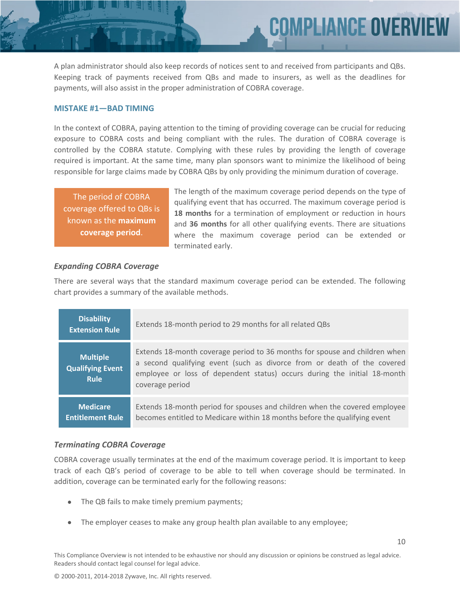A plan administrator should also keep records of notices sent to and received from participants and QBs. Keeping track of payments received from QBs and made to insurers, as well as the deadlines for payments, will also assist in the proper administration of COBRA coverage.

#### **MISTAKE #1—BAD TIMING**

In the context of COBRA, paying attention to the timing of providing coverage can be crucial for reducing exposure to COBRA costs and being compliant with the rules. The duration of COBRA coverage is controlled by the COBRA statute. Complying with these rules by providing the length of coverage required is important. At the same time, many plan sponsors want to minimize the likelihood of being responsible for large claims made by COBRA QBs by only providing the minimum duration of coverage.

The period of COBRA coverage offered to QBs is known as the **maximum coverage period**.

The length of the maximum coverage period depends on the type of qualifying event that has occurred. The maximum coverage period is **18 months** for a termination of employment or reduction in hours and **36 months** for all other qualifying events. There are situations where the maximum coverage period can be extended or terminated early.

COMPLIANCE OVERV

#### *Expanding COBRA Coverage*

There are several ways that the standard maximum coverage period can be extended. The following chart provides a summary of the available methods.

| <b>Disability</b><br><b>Extension Rule</b>         | Extends 18-month period to 29 months for all related QBs                                                                                                                                                                                             |
|----------------------------------------------------|------------------------------------------------------------------------------------------------------------------------------------------------------------------------------------------------------------------------------------------------------|
| <b>Multiple</b><br>Qualifying Event<br><b>Rule</b> | Extends 18-month coverage period to 36 months for spouse and children when<br>a second qualifying event (such as divorce from or death of the covered<br>employee or loss of dependent status) occurs during the initial 18-month<br>coverage period |
| <b>Medicare</b><br><b>Entitlement Rule</b>         | Extends 18-month period for spouses and children when the covered employee<br>becomes entitled to Medicare within 18 months before the qualifying event                                                                                              |

#### *Terminating COBRA Coverage*

COBRA coverage usually terminates at the end of the maximum coverage period. It is important to keep track of each QB's period of coverage to be able to tell when coverage should be terminated. In addition, coverage can be terminated early for the following reasons:

- The QB fails to make timely premium payments;
- The employer ceases to make any group health plan available to any employee;

This Compliance Overview is not intended to be exhaustive nor should any discussion or opinions be construed as legal advice. Readers should contact legal counsel for legal advice.